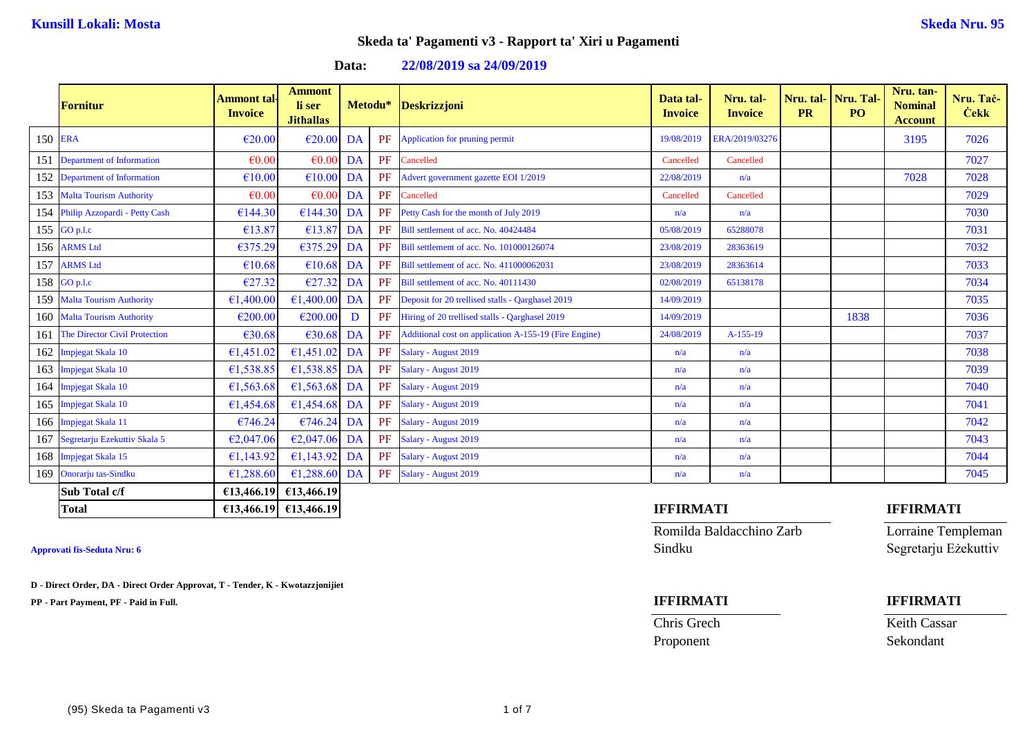**Data: 22/08/2019 sa 24/09/2019**

|         | <b>Fornitur</b>                   | Ammont tal·<br><b>Invoice</b> | <b>Ammont</b><br>li ser<br><b>Jithallas</b> |    |    | Metodu* Deskrizzjoni                                  | Data tal-<br><b>Invoice</b> | Nru. tal-<br><b>Invoice</b> | Nru. tal-<br><b>PR</b> | Nru. Tal-<br>PO <sub>1</sub> | Nru. tan-<br><b>Nominal</b><br><b>Account</b> | Nru. Tač-<br><b>Cekk</b> |
|---------|-----------------------------------|-------------------------------|---------------------------------------------|----|----|-------------------------------------------------------|-----------------------------|-----------------------------|------------------------|------------------------------|-----------------------------------------------|--------------------------|
| 150 ERA |                                   | $\epsilon$ 20.00              | $\epsilon$ 20.00                            | DA | PF | Application for pruning permit                        | 19/08/2019                  | ERA/2019/03276              |                        |                              | 3195                                          | 7026                     |
|         | 151 Department of Information     | $\epsilon$ 0.00               | $\epsilon 0.00$ DA                          |    | PF | Cancelled                                             | Cancelled                   | Cancelled                   |                        |                              |                                               | 7027                     |
|         | 152 Department of Information     | €10.00                        | $€10.00$ DA                                 |    | PF | Advert government gazette EOI 1/2019                  | 22/08/2019                  | n/a                         |                        |                              | 7028                                          | 7028                     |
|         | 153 Malta Tourism Authority       | $\epsilon$ 0.00               | $\epsilon$ 0.00 DA                          |    | PF | Cancelled                                             | Cancelled                   | Cancelled                   |                        |                              |                                               | 7029                     |
|         | 154 Philip Azzopardi - Petty Cash | €144.30                       | $E144.30$ DA                                |    | PF | Petty Cash for the month of July 2019                 | n/a                         | n/a                         |                        |                              |                                               | 7030                     |
|         | 155 $GO p.l.c$                    | €13.87                        | €13.87                                      | DA | PF | Bill settlement of acc. No. 40424484                  | 05/08/2019                  | 65288078                    |                        |                              |                                               | 7031                     |
|         | 156 ARMS Ltd                      | €375.29                       | €375.29 DA                                  |    | PF | Bill settlement of acc. No. 101000126074              | 23/08/2019                  | 28363619                    |                        |                              |                                               | 7032                     |
|         | 157 ARMS Ltd                      | €10.68                        | $£10.68$ DA                                 |    | PF | Bill settlement of acc. No. 411000062031              | 23/08/2019                  | 28363614                    |                        |                              |                                               | 7033                     |
|         | 158 $GO p.l.c$                    | €27.32                        | $E27.32$ DA                                 |    | PF | Bill settlement of acc. No. 40111430                  | 02/08/2019                  | 65138178                    |                        |                              |                                               | 7034                     |
|         | 159 Malta Tourism Authority       | €1,400.00                     | €1,400.00 DA                                |    | PF | Deposit for 20 trellised stalls - Qarghasel 2019      | 14/09/2019                  |                             |                        |                              |                                               | 7035                     |
|         | 160 Malta Tourism Authority       | €200.00                       | €200.00                                     | D  | PF | Hiring of 20 trellised stalls - Qarghasel 2019        | 14/09/2019                  |                             |                        | 1838                         |                                               | 7036                     |
|         | 161 The Director Civil Protection | €30.68                        | $€30.68$ DA                                 |    | PF | Additional cost on application A-155-19 (Fire Engine) | 24/08/2019                  | A-155-19                    |                        |                              |                                               | 7037                     |
|         | 162 Impjegat Skala 10             | €1,451.02                     | €1,451.02 DA                                |    | PF | Salary - August 2019                                  | n/a                         | n/a                         |                        |                              |                                               | 7038                     |
|         | 163 Impjegat Skala 10             | €1,538.85                     | €1,538.85 DA                                |    | PF | Salary - August 2019                                  | n/a                         | n/a                         |                        |                              |                                               | 7039                     |
|         | 164 Impjegat Skala 10             | €1,563.68                     | €1,563.68 DA                                |    | PF | Salary - August 2019                                  | n/a                         | n/a                         |                        |                              |                                               | 7040                     |
|         | 165 Impjegat Skala 10             | €1,454.68                     | €1,454.68 DA                                |    | PF | Salary - August 2019                                  | n/a                         | n/a                         |                        |                              |                                               | 7041                     |
|         | 166 Impjegat Skala 11             | €746.24                       | $€746.24$ DA                                |    | PF | Salary - August 2019                                  | n/a                         | n/a                         |                        |                              |                                               | 7042                     |
|         | 167 Segretarju Ezekuttiv Skala 5  | €2,047.06                     | €2,047.06 DA                                |    | PF | Salary - August 2019                                  | n/a                         | n/a                         |                        |                              |                                               | 7043                     |
|         | 168 Impjegat Skala 15             | €1,143.92                     | €1,143.92 DA                                |    | PF | Salary - August 2019                                  | n/a                         | n/a                         |                        |                              |                                               | 7044                     |
|         | 169 Onorarju tas-Sindku           | €1,288.60                     | €1,288.60 DA                                |    | PF | Salary - August 2019                                  | n/a                         | n/a                         |                        |                              |                                               | 7045                     |
|         | Sub Total c/f                     |                               | €13,466.19 €13,466.19                       |    |    |                                                       |                             |                             |                        |                              |                                               |                          |

**D - Direct Order, DA - Direct Order Approvat, T - Tender, K - Kwotazzjonijiet**

**PP - Part Payment, PF - Paid in Full. IFFIRMATI IFFIRMATI**

Romilda Baldacchino Zarb Lorraine Templeman **Approvati fis-Seduta Nru: 6** Sindku Segretarju Eżekuttiv

Chris Grech Keith Cassar Proponent Sekondant

### **Total €13,466.19 €13,466.19 IFFIRMATI IFFIRMATI**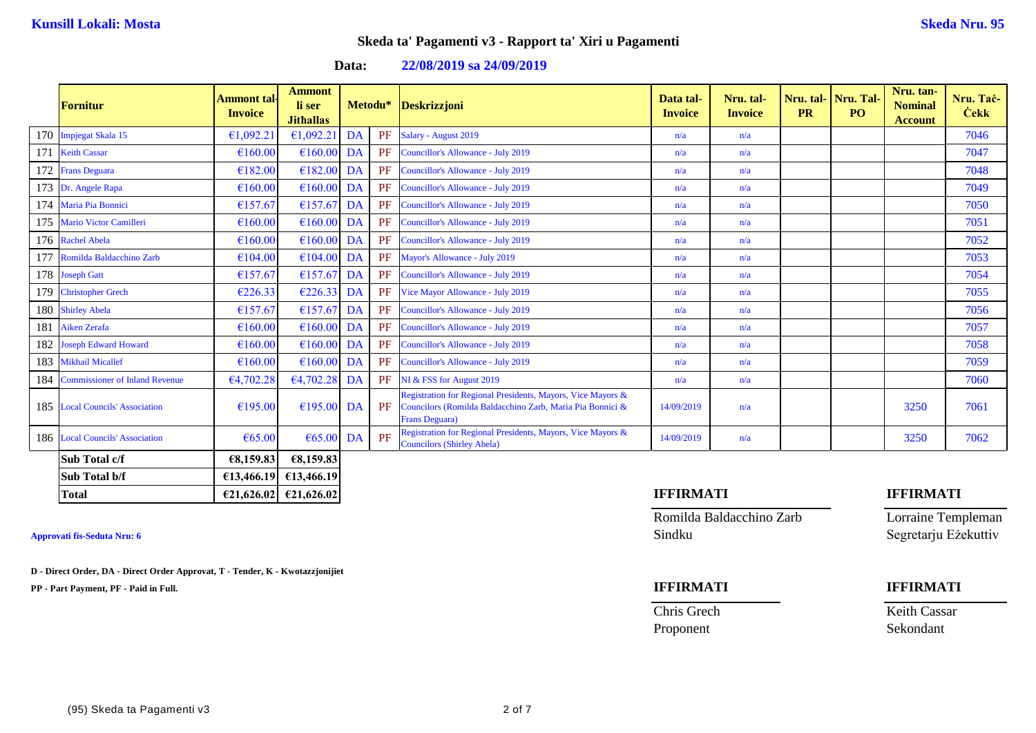**Data: 22/08/2019 sa 24/09/2019**

|     | <b>Fornitur</b>                    | Ammont tal<br><b>Invoice</b> | <b>Ammont</b><br>li ser<br><b>Jithallas</b> |    | Metodu* | <b>Deskrizzjoni</b>                                                                                                                        | Data tal-<br><b>Invoice</b> | Nru. tal-<br><b>Invoice</b> | Nru. tal-<br><b>PR</b> | Nru. Tal-<br>P <sub>O</sub> | Nru. tan-<br><b>Nominal</b><br><b>Account</b> | Nru. Tač-<br><b>Cekk</b> |
|-----|------------------------------------|------------------------------|---------------------------------------------|----|---------|--------------------------------------------------------------------------------------------------------------------------------------------|-----------------------------|-----------------------------|------------------------|-----------------------------|-----------------------------------------------|--------------------------|
|     | 170 Impjegat Skala 15              | €1,092.2                     | €1,092.21                                   | DA | PF      | Salary - August 2019                                                                                                                       | n/a                         | n/a                         |                        |                             |                                               | 7046                     |
| 171 | <b>Keith Cassar</b>                | €160.00                      | €160.00                                     | DA | PF      | Councillor's Allowance - July 2019                                                                                                         | n/a                         | n/a                         |                        |                             |                                               | 7047                     |
|     | 172 Frans Deguara                  | €182.00                      | $€182.00$ DA                                |    | PF      | Councillor's Allowance - July 2019                                                                                                         | n/a                         | n/a                         |                        |                             |                                               | 7048                     |
|     | 173 Dr. Angele Rapa                | €160.00                      | $€160.00$ DA                                |    | PF      | Councillor's Allowance - July 2019                                                                                                         | n/a                         | n/a                         |                        |                             |                                               | 7049                     |
|     | 174 Maria Pia Bonnici              | €157.67                      | €157.67                                     | DA | PF      | Councillor's Allowance - July 2019                                                                                                         | n/a                         | n/a                         |                        |                             |                                               | 7050                     |
|     | 175 Mario Victor Camilleri         | €160.00                      | €160.00                                     | DA | PF      | Councillor's Allowance - July 2019                                                                                                         | n/a                         | n/a                         |                        |                             |                                               | 7051                     |
|     | 176 Rachel Abela                   | €160.00                      | $€160.00$ DA                                |    | PF      | Councillor's Allowance - July 2019                                                                                                         | n/a                         | n/a                         |                        |                             |                                               | 7052                     |
|     | 177 Romilda Baldacchino Zarb       | €104.00                      | $€104.00$ DA                                |    | PF      | Mayor's Allowance - July 2019                                                                                                              | n/a                         | n/a                         |                        |                             |                                               | 7053                     |
|     | 178 Joseph Gatt                    | €157.67                      | €157.67                                     | DA | PF      | Councillor's Allowance - July 2019                                                                                                         | n/a                         | n/a                         |                        |                             |                                               | 7054                     |
|     | 179 Christopher Grech              | €226.33                      | €226.33 DA                                  |    | PF      | Vice Mayor Allowance - July 2019                                                                                                           | n/a                         | n/a                         |                        |                             |                                               | 7055                     |
|     | 180 Shirley Abela                  | €157.67                      | €157.67                                     | DA | PF      | Councillor's Allowance - July 2019                                                                                                         | n/a                         | n/a                         |                        |                             |                                               | 7056                     |
| 181 | <b>Aiken Zerafa</b>                | €160.00                      | €160.00                                     | DA | PF      | Councillor's Allowance - July 2019                                                                                                         | n/a                         | n/a                         |                        |                             |                                               | 7057                     |
|     | 182 Joseph Edward Howard           | €160.00                      | €160.00                                     | DA | PF      | Councillor's Allowance - July 2019                                                                                                         | n/a                         | n/a                         |                        |                             |                                               | 7058                     |
|     | 183 Mikhail Micallef               | €160.00                      | €160.00                                     | DA | PF      | Councillor's Allowance - July 2019                                                                                                         | n/a                         | n/a                         |                        |                             |                                               | 7059                     |
|     | 184 Commissioner of Inland Revenue | €4,702.28                    | €4,702.28                                   | DA | PF      | NI & FSS for August 2019                                                                                                                   | n/a                         | n/a                         |                        |                             |                                               | 7060                     |
|     | 185 Local Councils' Association    | €195.00                      | $£195.00$ DA                                |    | PF      | Registration for Regional Presidents, Mayors, Vice Mayors &<br>Councilors (Romilda Baldacchino Zarb, Maria Pia Bonnici &<br>Frans Deguara) | 14/09/2019                  | n/a                         |                        |                             | 3250                                          | 7061                     |
|     | 186 Local Councils' Association    | €65.00                       | $\epsilon$ 65.00 DA                         |    | PF      | Registration for Regional Presidents, Mayors, Vice Mayors &<br><b>Councilors (Shirley Abela)</b>                                           | 14/09/2019                  | n/a                         |                        |                             | 3250                                          | 7062                     |
|     | Sub Total c/f                      | €8,159.83                    | €8,159.83                                   |    |         |                                                                                                                                            |                             |                             |                        |                             |                                               |                          |
|     | Sub Total b/f                      |                              | €13,466.19 €13,466.19                       |    |         |                                                                                                                                            |                             |                             |                        |                             |                                               |                          |

**D - Direct Order, DA - Direct Order Approvat, T - Tender, K - Kwotazzjonijiet**

**PP - Part Payment, PF - Paid in Full. IFFIRMATI IFFIRMATI**

# **Total €21,626.02 €21,626.02 IFFIRMATI IFFIRMATI**

Romilda Baldacchino Zarb Lorraine Templeman **Approvati fis-Seduta Nru: 6** Sindku Segretarju Eżekuttiv

Chris Grech Keith Cassar

Proponent Sekondant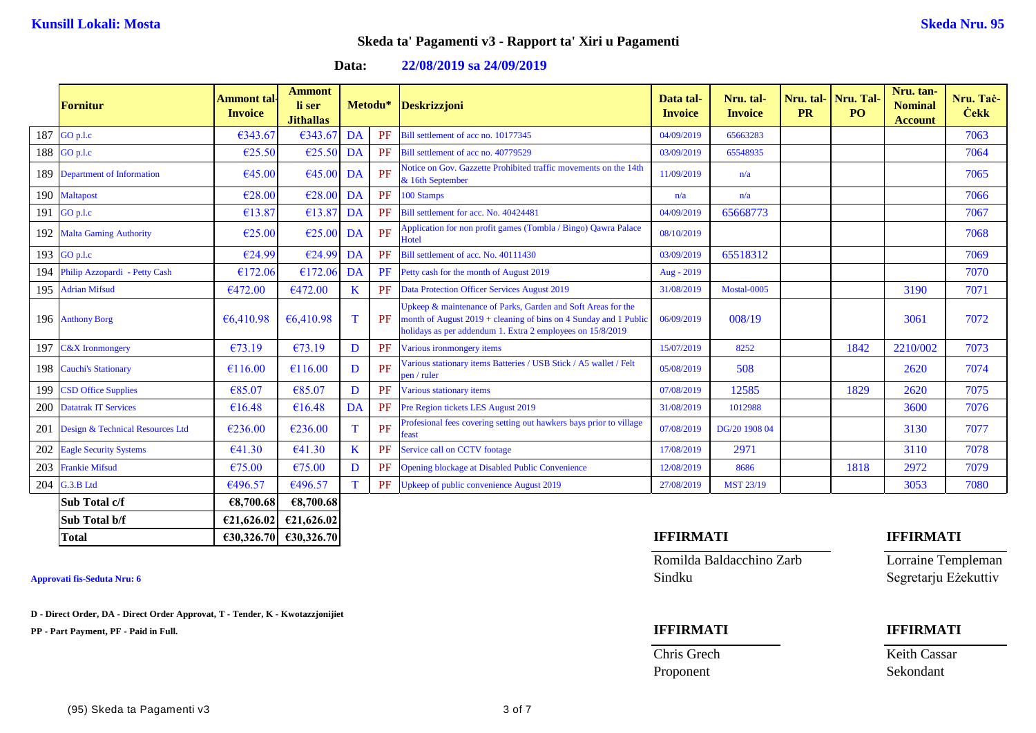**Data: 22/08/2019 sa 24/09/2019**

|     | <b>Fornitur</b>                  | Ammont tal·<br><b>Invoice</b> | <b>Ammont</b><br>li ser<br><b>Jithallas</b> |           | Metodu* | <b>Deskrizzjoni</b>                                                                                                                                                                            | Data tal-<br><b>Invoice</b> | Nru. tal-<br><b>Invoice</b> | Nru. tal-<br><b>PR</b> | Nru. Tal-<br><b>PO</b> | Nru. tan-<br><b>Nominal</b><br><b>Account</b> | Nru. Tač-<br><b>Cekk</b> |
|-----|----------------------------------|-------------------------------|---------------------------------------------|-----------|---------|------------------------------------------------------------------------------------------------------------------------------------------------------------------------------------------------|-----------------------------|-----------------------------|------------------------|------------------------|-----------------------------------------------|--------------------------|
| 187 | GO p.l.c                         | €343.67                       | €343.67                                     | <b>DA</b> | PF      | Bill settlement of acc no. 10177345                                                                                                                                                            | 04/09/2019                  | 65663283                    |                        |                        |                                               | 7063                     |
| 188 | GO p.l.c                         | €25.50                        | €25.50                                      | DA        | PF      | Bill settlement of acc no. 40779529                                                                                                                                                            | 03/09/2019                  | 65548935                    |                        |                        |                                               | 7064                     |
| 189 | <b>Department of Information</b> | €45.00                        | €45.00                                      | DA        | PF      | Notice on Gov. Gazzette Prohibited traffic movements on the 14th<br>& 16th September                                                                                                           | 11/09/2019                  | n/a                         |                        |                        |                                               | 7065                     |
| 190 | <b>Maltapost</b>                 | €28.00                        | €28.00                                      | DA        | PF      | 100 Stamps                                                                                                                                                                                     | n/a                         | n/a                         |                        |                        |                                               | 7066                     |
| 191 | GO p.l.c                         | €13.87                        | €13.87                                      | DA        | PF      | Bill settlement for acc. No. 40424481                                                                                                                                                          | 04/09/2019                  | 65668773                    |                        |                        |                                               | 7067                     |
| 192 | <b>Malta Gaming Authority</b>    | €25.00                        | €25.00                                      | DA        | PF      | Application for non profit games (Tombla / Bingo) Qawra Palace<br>Hotel                                                                                                                        | 08/10/2019                  |                             |                        |                        |                                               | 7068                     |
|     | 193 $GO p.l.c$                   | €24.99                        | €24.99                                      | DA        | PF      | Bill settlement of acc. No. 40111430                                                                                                                                                           | 03/09/2019                  | 65518312                    |                        |                        |                                               | 7069                     |
| 194 | Philip Azzopardi - Petty Cash    | €172.06                       | €172.06                                     | DA        | PF      | Petty cash for the month of August 2019                                                                                                                                                        | Aug - 2019                  |                             |                        |                        |                                               | 7070                     |
| 195 | <b>Adrian Mifsud</b>             | €472.00                       | €472.00                                     | K         | PF      | <b>Data Protection Officer Services August 2019</b>                                                                                                                                            | 31/08/2019                  | Mostal-0005                 |                        |                        | 3190                                          | 7071                     |
|     | 196 Anthony Borg                 | €6,410.98                     | €6,410.98                                   | T         | PF      | Jpkeep & maintenance of Parks, Garden and Soft Areas for the<br>month of August 2019 + cleaning of bins on 4 Sunday and 1 Public<br>holidays as per addendum 1. Extra 2 employees on 15/8/2019 | 06/09/2019                  | 008/19                      |                        |                        | 3061                                          | 7072                     |
|     | 197 C&X Ironmongery              | €73.19                        | €73.19                                      | D         | PF      | Various ironmongery items                                                                                                                                                                      | 15/07/2019                  | 8252                        |                        | 1842                   | 2210/002                                      | 7073                     |
|     | 198 Cauchi's Stationary          | €116.00                       | €116.00                                     | D         | PF      | Various stationary items Batteries / USB Stick / A5 wallet / Felt<br>pen / ruler                                                                                                               | 05/08/2019                  | 508                         |                        |                        | 2620                                          | 7074                     |
| 199 | <b>CSD Office Supplies</b>       | €85.07                        | €85.07                                      | D         | PF      | Various stationary items                                                                                                                                                                       | 07/08/2019                  | 12585                       |                        | 1829                   | 2620                                          | 7075                     |
| 200 | <b>Datatrak IT Services</b>      | €16.48                        | €16.48                                      | DA        | PF      | Pre Region tickets LES August 2019                                                                                                                                                             | 31/08/2019                  | 1012988                     |                        |                        | 3600                                          | 7076                     |
| 201 | Design & Technical Resources Ltd | €236.00                       | €236.00                                     | т         | PF      | Profesional fees covering setting out hawkers bays prior to village<br>east                                                                                                                    | 07/08/2019                  | DG/20 1908 04               |                        |                        | 3130                                          | 7077                     |
| 202 | <b>Eagle Security Systems</b>    | €41.30                        | €41.30                                      | K         | PF      | Service call on CCTV footage                                                                                                                                                                   | 17/08/2019                  | 2971                        |                        |                        | 3110                                          | 7078                     |
| 203 | <b>Frankie Mifsud</b>            | €75.00                        | €75.00                                      | D         | PF      | <b>Opening blockage at Disabled Public Convenience</b>                                                                                                                                         | 12/08/2019                  | 8686                        |                        | 1818                   | 2972                                          | 7079                     |
| 204 | G.3.B Ltd                        | €496.57                       | €496.57                                     | T         | PF      | <b>Jpkeep of public convenience August 2019</b>                                                                                                                                                | 27/08/2019                  | <b>MST 23/19</b>            |                        |                        | 3053                                          | 7080                     |
|     | Sub Total c/f                    | €8,700.68                     | €8,700.68                                   |           |         |                                                                                                                                                                                                |                             |                             |                        |                        |                                               |                          |
|     | Sub Total b/f                    | €21,626.02                    | €21,626.02                                  |           |         |                                                                                                                                                                                                |                             |                             |                        |                        |                                               |                          |

**D - Direct Order, DA - Direct Order Approvat, T - Tender, K - Kwotazzjonijiet**

**PP - Part Payment, PF - Paid in Full. IFFIRMATI IFFIRMATI**

### **Total €30,326.70 €30,326.70 IFFIRMATI IFFIRMATI**

Romilda Baldacchino Zarb Lorraine Templeman **Approvati fis-Seduta Nru: 6** Sindku Segretarju Eżekuttiv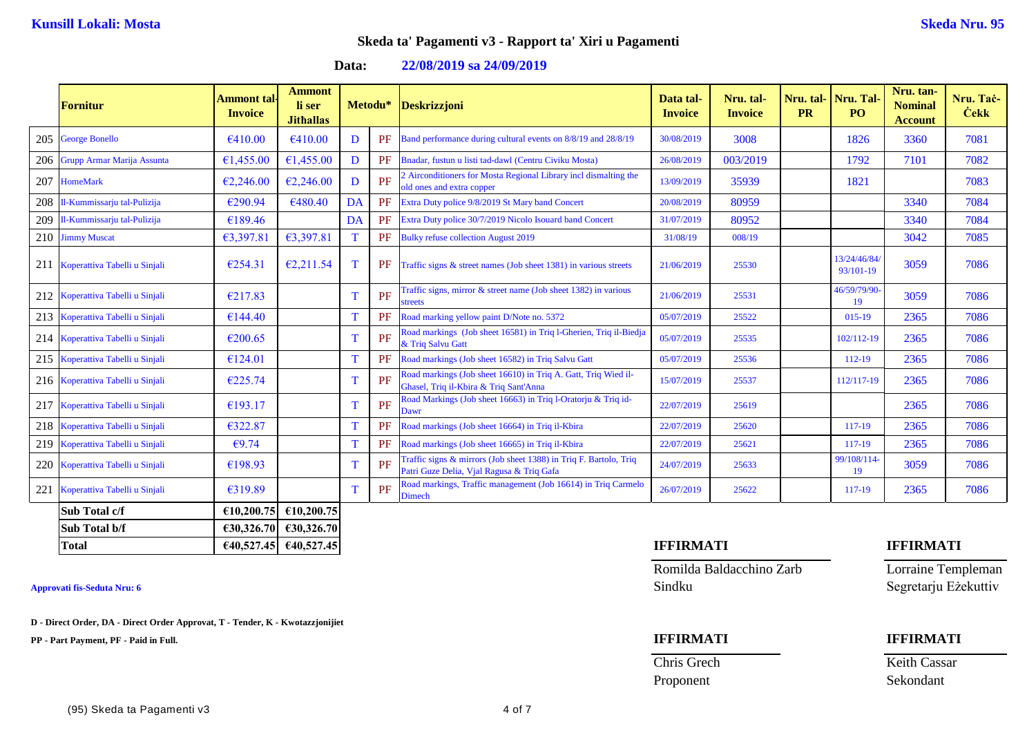**Data: 22/08/2019 sa 24/09/2019**

| <b>Fornitur</b>                   | Ammont tal <sub>'</sub><br><b>Invoice</b> | <b>Ammont</b><br>li ser<br><b>Jithallas</b> | Metodu* |    | <b>Deskrizzjoni</b>                                                                                            | Data tal-<br><b>Invoice</b> | Nru. tal-<br><b>Invoice</b> | Nru. tal-<br><b>PR</b> | Nru. Tal<br>PO <sub>1</sub> | Nru. tan-<br><b>Nominal</b><br><b>Account</b> | Nru. Tac-<br><b>Cekk</b> |
|-----------------------------------|-------------------------------------------|---------------------------------------------|---------|----|----------------------------------------------------------------------------------------------------------------|-----------------------------|-----------------------------|------------------------|-----------------------------|-----------------------------------------------|--------------------------|
| 205 George Bonello                | €410.00                                   | €410.00                                     | D       | PF | Band performance during cultural events on 8/8/19 and 28/8/19                                                  | 30/08/2019                  | 3008                        |                        | 1826                        | 3360                                          | 7081                     |
| 206 Grupp Armar Marija Assunta    | €1,455.00                                 | €1,455.00                                   | D       | PF | Bnadar, fustun u listi tad-dawl (Centru Civiku Mosta)                                                          | 26/08/2019                  | 003/2019                    |                        | 1792                        | 7101                                          | 7082                     |
| 207 HomeMark                      | €2,246.00                                 | €2,246.00                                   | D       | PF | Airconditioners for Mosta Regional Library incl dismalting the<br>old ones and extra copper                    | 13/09/2019                  | 35939                       |                        | 1821                        |                                               | 7083                     |
| 208 Il-Kummissarju tal-Pulizija   | €290.94                                   | €480.40                                     | DA      | PF | Extra Duty police 9/8/2019 St Mary band Concert                                                                | 20/08/2019                  | 80959                       |                        |                             | 3340                                          | 7084                     |
| 209 Il-Kummissarju tal-Pulizija   | €189.46                                   |                                             | DA      | PF | Extra Duty police 30/7/2019 Nicolo Isouard band Concert                                                        | 31/07/2019                  | 80952                       |                        |                             | 3340                                          | 7084                     |
| 210 Jimmy Muscat                  | €3,397.81                                 | €3,397.81                                   | T       | PF | <b>Bulky refuse collection August 2019</b>                                                                     | 31/08/19                    | 008/19                      |                        |                             | 3042                                          | 7085                     |
| 211 Koperattiva Tabelli u Sinjali | €254.31                                   | €2,211.54                                   | T       | PF | Traffic signs $\&$ street names (Job sheet 1381) in various streets                                            | 21/06/2019                  | 25530                       |                        | 13/24/46/84<br>93/101-19    | 3059                                          | 7086                     |
| 212 Koperattiva Tabelli u Sinjali | €217.83                                   |                                             | T       | PF | Traffic signs, mirror & street name (Job sheet 1382) in various<br>streets                                     | 21/06/2019                  | 25531                       |                        | 46/59/79/90<br>19           | 3059                                          | 7086                     |
| 213 Koperattiva Tabelli u Sinjali | €144.40                                   |                                             | T       | PF | Road marking yellow paint D/Note no. 5372                                                                      | 05/07/2019                  | 25522                       |                        | 015-19                      | 2365                                          | 7086                     |
| 214 Koperattiva Tabelli u Sinjali | €200.65                                   |                                             | т       | PF | Road markings (Job sheet 16581) in Triq l-Gherien, Triq il-Biedja<br>& Triq Salvu Gatt                         | 05/07/2019                  | 25535                       |                        | 102/112-19                  | 2365                                          | 7086                     |
| 215 Koperattiva Tabelli u Sinjali | €124.01                                   |                                             | T       | PF | Road markings (Job sheet 16582) in Triq Salvu Gatt                                                             | 05/07/2019                  | 25536                       |                        | 112-19                      | 2365                                          | 7086                     |
| 216 Koperattiva Tabelli u Sinjali | €225.74                                   |                                             | T       | PF | Road markings (Job sheet 16610) in Triq A. Gatt, Triq Wied il-<br>Ghasel, Triq il-Kbira & Triq Sant'Anna       | 15/07/2019                  | 25537                       |                        | 112/117-19                  | 2365                                          | 7086                     |
| 217 Koperattiva Tabelli u Sinjali | €193.17                                   |                                             | T       | PF | Road Markings (Job sheet 16663) in Triq l-Oratorju & Triq id-<br>Dawr                                          | 22/07/2019                  | 25619                       |                        |                             | 2365                                          | 7086                     |
| 218 Koperattiva Tabelli u Sinjali | €322.87                                   |                                             | T       | PF | Road markings (Job sheet 16664) in Triq il-Kbira                                                               | 22/07/2019                  | 25620                       |                        | 117-19                      | 2365                                          | 7086                     |
| 219 Koperattiva Tabelli u Sinjali | €9.74                                     |                                             | T       | PF | Road markings (Job sheet 16665) in Triq il-Kbira                                                               | 22/07/2019                  | 25621                       |                        | 117-19                      | 2365                                          | 7086                     |
| 220 Koperattiva Tabelli u Sinjali | €198.93                                   |                                             | Т       | PF | Fraffic signs & mirrors (Job sheet 1388) in Triq F. Bartolo, Triq<br>Patri Guze Delia, Vial Ragusa & Triq Gafa | 24/07/2019                  | 25633                       |                        | 99/108/114-<br>19           | 3059                                          | 7086                     |
| 221 Koperattiva Tabelli u Sinjali | €319.89                                   |                                             | т       | PF | Road markings, Traffic management (Job 16614) in Triq Carmelo<br>Dimech                                        | 26/07/2019                  | 25622                       |                        | 117-19                      | 2365                                          | 7086                     |
| Sub Total c/f                     | €10,200.75                                | €10,200.75                                  |         |    |                                                                                                                |                             |                             |                        |                             |                                               |                          |
| Sub Total b/f                     |                                           | €30,326.70 €30,326.70                       |         |    |                                                                                                                |                             |                             |                        |                             |                                               |                          |

**D - Direct Order, DA - Direct Order Approvat, T - Tender, K - Kwotazzjonijiet**

**PP - Part Payment, PF - Paid in Full. IFFIRMATI IFFIRMATI**

### **Total €40,527.45 €40,527.45 IFFIRMATI IFFIRMATI**

Romilda Baldacchino Zarb Lorraine Templeman **Approvati fis-Seduta Nru: 6** Sindku Segretarju Eżekuttiv

Chris Grech Keith Cassar

Proponent Sekondant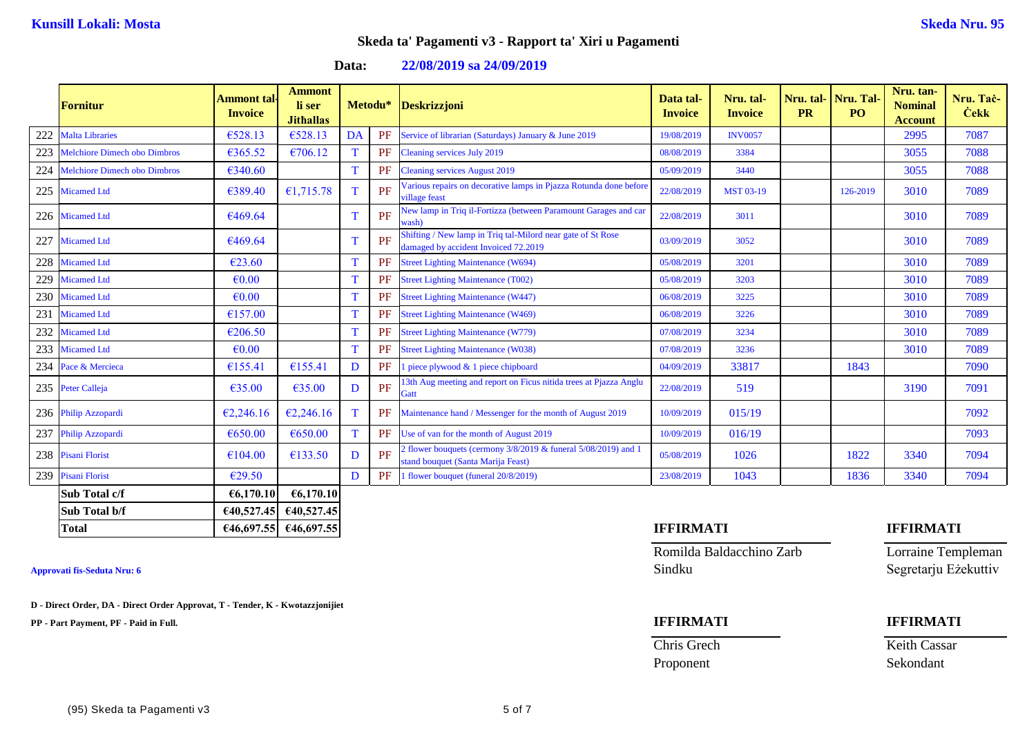**Data: 22/08/2019 sa 24/09/2019**

|     | Fornitur                            | <b>Ammont</b> tal-<br><b>Invoice</b> | <b>Ammont</b><br>li ser<br><b>Jithallas</b> | Metodu* |    | <b>Deskrizzjoni</b>                                                                                        | Data tal-<br><b>Invoice</b> | Nru. tal-<br><b>Invoice</b> | Nru. tal-<br><b>PR</b> | Nru. Tal<br>PO <sub>1</sub> | Nru. tan-<br><b>Nominal</b><br><b>Account</b> | Nru. Tač-<br><b>Cekk</b> |
|-----|-------------------------------------|--------------------------------------|---------------------------------------------|---------|----|------------------------------------------------------------------------------------------------------------|-----------------------------|-----------------------------|------------------------|-----------------------------|-----------------------------------------------|--------------------------|
|     | Malta Libraries                     | €528.13                              | €528.13                                     | DA      | PF | Service of librarian (Saturdays) January & June 2019                                                       | 19/08/2019                  | <b>INV0057</b>              |                        |                             | 2995                                          | 7087                     |
| 223 | <b>Melchiore Dimech obo Dimbros</b> | €365.52                              | €706.12                                     |         | PF | Cleaning services July 2019                                                                                | 08/08/2019                  | 3384                        |                        |                             | 3055                                          | 7088                     |
| 224 | <b>Melchiore Dimech obo Dimbros</b> | €340.60                              |                                             | T       | PF | <b>Cleaning services August 2019</b>                                                                       | 05/09/2019                  | 3440                        |                        |                             | 3055                                          | 7088                     |
| 225 | <b>Micamed Ltd</b>                  | €389.40                              | €1,715.78                                   | T       | PF | Various repairs on decorative lamps in Pjazza Rotunda done before<br>village feast                         | 22/08/2019                  | <b>MST 03-19</b>            |                        | 126-2019                    | 3010                                          | 7089                     |
|     | 226 Micamed Ltd                     | €469.64                              |                                             | T       | PF | Vew lamp in Triq il-Fortizza (between Paramount Garages and car<br>wash)                                   | 22/08/2019                  | 3011                        |                        |                             | 3010                                          | 7089                     |
| 227 | <b>Micamed Ltd</b>                  | €469.64                              |                                             | T       | PF | Shifting / New lamp in Triq tal-Milord near gate of St Rose<br>damaged by accident Invoiced 72.2019        | 03/09/2019                  | 3052                        |                        |                             | 3010                                          | 7089                     |
| 228 | <b>Micamed Ltd</b>                  | €23.60                               |                                             | T       | PF | <b>Street Lighting Maintenance (W694)</b>                                                                  | 05/08/2019                  | 3201                        |                        |                             | 3010                                          | 7089                     |
| 229 | <b>Micamed Ltd</b>                  | $\epsilon$ <sub>0.00</sub>           |                                             | T       | PF | <b>Street Lighting Maintenance (T002)</b>                                                                  | 05/08/2019                  | 3203                        |                        |                             | 3010                                          | 7089                     |
|     | 230 Micamed Ltd                     | $\epsilon$ <sub>0.00</sub>           |                                             | T       | PF | <b>Street Lighting Maintenance (W447)</b>                                                                  | 06/08/2019                  | 3225                        |                        |                             | 3010                                          | 7089                     |
| 231 | <b>Micamed Ltd</b>                  | €157.00                              |                                             | T       | PF | <b>Street Lighting Maintenance (W469)</b>                                                                  | 06/08/2019                  | 3226                        |                        |                             | 3010                                          | 7089                     |
|     | 232 Micamed Ltd                     | €206.50                              |                                             | T       | PF | <b>Street Lighting Maintenance (W779)</b>                                                                  | 07/08/2019                  | 3234                        |                        |                             | 3010                                          | 7089                     |
|     | 233 Micamed Ltd                     | $\epsilon$ <sub>0.00</sub>           |                                             | T       | PF | <b>Street Lighting Maintenance (W038)</b>                                                                  | 07/08/2019                  | 3236                        |                        |                             | 3010                                          | 7089                     |
|     | 234 Pace & Mercieca                 | €155.41                              | €155.41                                     | D       | PF | piece plywood & 1 piece chipboard                                                                          | 04/09/2019                  | 33817                       |                        | 1843                        |                                               | 7090                     |
|     | 235 Peter Calleja                   | €35.00                               | €35.00                                      | D       | PF | 3th Aug meeting and report on Ficus nitida trees at Pjazza Anglu<br>Gatt                                   | 22/08/2019                  | 519                         |                        |                             | 3190                                          | 7091                     |
|     | 236 Philip Azzopardi                | €2,246.16                            | €2,246.16                                   | T       | PF | Maintenance hand / Messenger for the month of August 2019                                                  | 10/09/2019                  | 015/19                      |                        |                             |                                               | 7092                     |
|     | 237 Philip Azzopardi                | €650.00                              | €650.00                                     | T       | PF | Use of van for the month of August 2019                                                                    | 10/09/2019                  | 016/19                      |                        |                             |                                               | 7093                     |
|     | 238 Pisani Florist                  | €104.00                              | €133.50                                     | D       | PF | If flower bouquets (cermony $3/8/2019$ & funeral $5/08/2019$ ) and 1<br>stand bouquet (Santa Marija Feast) | 05/08/2019                  | 1026                        |                        | 1822                        | 3340                                          | 7094                     |
|     | 239 Pisani Florist                  | €29.50                               |                                             | D       | PF | I flower bouquet (funeral 20/8/2019)                                                                       | 23/08/2019                  | 1043                        |                        | 1836                        | 3340                                          | 7094                     |
|     | Sub Total c/f                       | €6,170.10                            | €6,170.10                                   |         |    |                                                                                                            |                             |                             |                        |                             |                                               |                          |
|     | Sub Total b/f                       | 640,527.45                           | €40,527.45                                  |         |    |                                                                                                            |                             |                             |                        |                             |                                               |                          |

**D - Direct Order, DA - Direct Order Approvat, T - Tender, K - Kwotazzjonijiet**

**PP - Part Payment, PF - Paid in Full. IFFIRMATI IFFIRMATI**

### **Total €46,697.55 €46,697.55 IFFIRMATI IFFIRMATI**

Romilda Baldacchino Zarb Lorraine Templeman **Approvati fis-Seduta Nru: 6** Sindku Segretarju Eżekuttiv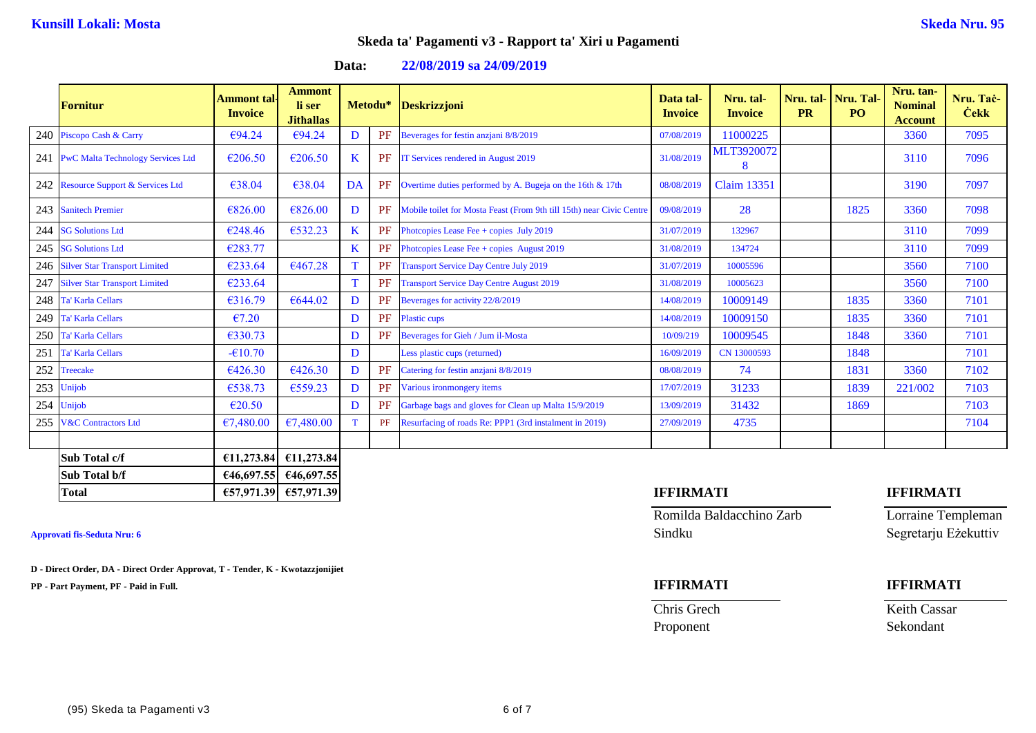**Data: 22/08/2019 sa 24/09/2019**

|     | Fornitur                              | Ammont tal-<br><b>Invoice</b> | <b>Ammont</b><br>li ser<br><b>Jithallas</b> |         | Metodu* | <b>Deskrizzjoni</b>                                                  | Data tal-<br><b>Invoice</b> | Nru. tal-<br><b>Invoice</b> | Nru. tal-<br><b>PR</b> | Nru. Tal-<br>PO. | Nru. tan-<br><b>Nominal</b><br><b>Account</b> | Nru. Tač-<br><b>Cekk</b> |
|-----|---------------------------------------|-------------------------------|---------------------------------------------|---------|---------|----------------------------------------------------------------------|-----------------------------|-----------------------------|------------------------|------------------|-----------------------------------------------|--------------------------|
|     | 240 Piscopo Cash & Carry              | €94.24                        | €94.24                                      | D       | PF      | Beverages for festin anziani 8/8/2019                                | 07/08/2019                  | 11000225                    |                        |                  | 3360                                          | 7095                     |
|     | 241 PwC Malta Technology Services Ltd | €206.50                       | €206.50                                     | K       | PF      | IT Services rendered in August 2019                                  | 31/08/2019                  | MLT3920072<br>8             |                        |                  | 3110                                          | 7096                     |
|     | 242 Resource Support & Services Ltd   | €38.04                        | €38.04                                      | DA      | PF      | Overtime duties performed by A. Bugeja on the 16th & 17th            | 08/08/2019                  | <b>Claim 13351</b>          |                        |                  | 3190                                          | 7097                     |
|     | 243 Sanitech Premier                  | €826.00                       | €826.00                                     | D       | PF      | Mobile toilet for Mosta Feast (From 9th till 15th) near Civic Centre | 09/08/2019                  | 28                          |                        | 1825             | 3360                                          | 7098                     |
|     | 244 SG Solutions Ltd                  | €248.46                       | €532.23                                     | $\bf K$ | PF      | Photopies Lease Fee + copies July 2019                               | 31/07/2019                  | 132967                      |                        |                  | 3110                                          | 7099                     |
|     | 245 SG Solutions Ltd                  | €283.77                       |                                             | $\bf K$ | PF      | Photopies Lease Fee + copies August 2019                             | 31/08/2019                  | 134724                      |                        |                  | 3110                                          | 7099                     |
|     | 246 Silver Star Transport Limited     | €233.64                       | €467.28                                     | T       | PF      | <b>Transport Service Day Centre July 2019</b>                        | 31/07/2019                  | 10005596                    |                        |                  | 3560                                          | 7100                     |
| 247 | <b>Silver Star Transport Limited</b>  | €233.64                       |                                             | T       | PF      | <b>Transport Service Day Centre August 2019</b>                      | 31/08/2019                  | 10005623                    |                        |                  | 3560                                          | 7100                     |
|     | 248 Ta' Karla Cellars                 | €316.79                       | €644.02                                     | D       | PF      | Beverages for activity 22/8/2019                                     | 14/08/2019                  | 10009149                    |                        | 1835             | 3360                                          | 7101                     |
|     | 249 Ta' Karla Cellars                 | €7.20                         |                                             | D       | PF      | Plastic cups                                                         | 14/08/2019                  | 10009150                    |                        | 1835             | 3360                                          | 7101                     |
|     | 250 Ta' Karla Cellars                 | €330.73                       |                                             | D       | PF      | Beverages for Gieh / Jum il-Mosta                                    | 10/09/219                   | 10009545                    |                        | 1848             | 3360                                          | 7101                     |
| 251 | <b>Ta' Karla Cellars</b>              | $-610.70$                     |                                             | D       |         | Less plastic cups (returned)                                         | 16/09/2019                  | CN 13000593                 |                        | 1848             |                                               | 7101                     |
| 252 | <b>Treecake</b>                       | €426.30                       | €426.30                                     | D       | PF      | Catering for festin anziani 8/8/2019                                 | 08/08/2019                  | 74                          |                        | 1831             | 3360                                          | 7102                     |
|     | 253 Unijob                            | €538.73                       | €559.23                                     | D       | PF      | Various ironmongery items                                            | 17/07/2019                  | 31233                       |                        | 1839             | 221/002                                       | 7103                     |
|     | 254 Unijob                            | $\epsilon$ 20.50              |                                             | D       | PF      | Garbage bags and gloves for Clean up Malta 15/9/2019                 | 13/09/2019                  | 31432                       |                        | 1869             |                                               | 7103                     |
|     | 255 V&C Contractors Ltd               | €7,480.00                     | €7,480.00                                   |         | PF      | Resurfacing of roads Re: PPP1 (3rd instalment in 2019)               | 27/09/2019                  | 4735                        |                        |                  |                                               | 7104                     |
|     |                                       |                               |                                             |         |         |                                                                      |                             |                             |                        |                  |                                               |                          |
|     | Sub Total c/f                         | €11,273.84                    | €11,273.84                                  |         |         |                                                                      |                             |                             |                        |                  |                                               |                          |
|     | Sub Total b/f                         | €46,697.55                    | €46,697.55                                  |         |         |                                                                      |                             |                             |                        |                  |                                               |                          |
|     | <b>Total</b>                          |                               | €57,971.39 €57,971.39                       |         |         |                                                                      | <b>IFFIRMATI</b>            |                             |                        |                  | <b>IFFIRMATI</b>                              |                          |

**D - Direct Order, DA - Direct Order Approvat, T - Tender, K - Kwotazzjonijiet**

**PP - Part Payment, PF - Paid in Full. IFFIRMATI IFFIRMATI**

Romilda Baldacchino Zarb Lorraine Templeman **Approvati fis-Seduta Nru: 6** Sindku Segretarju Eżekuttiv